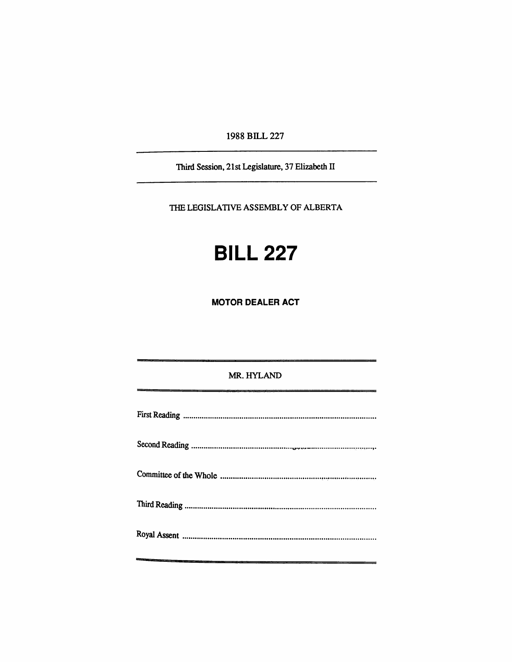1988 BILL 227

Third Session, 21st Legislature, 37 Elizabeth II

**THE LEGISLATIVE ASSEMBLY OF ALBERTA** 

# **BILL 227**

**MOTOR DEALER ACT** 

## MR. HYLAND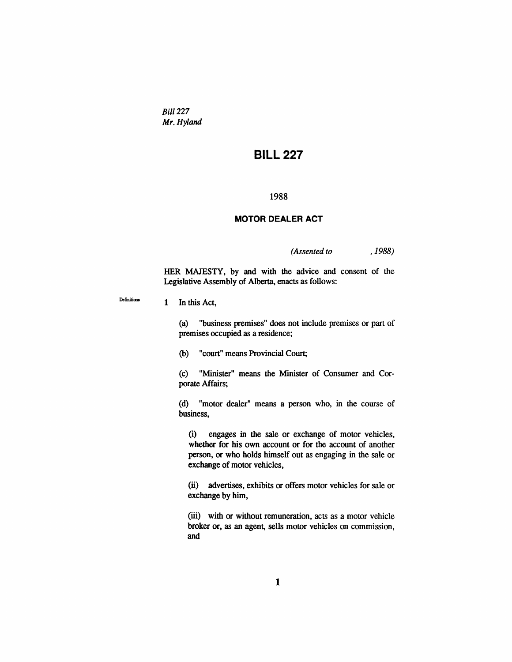*Bill 227 Mr. Hyland* 

# **BILL 227**

#### **1988**

#### **MOTOR DEALER ACT**

*(Assented to ,1988)* 

HER MAJESTY, by and with the advice and consent of the Legislative Assembly of Alberta, enacts as follows:

1 In this Act,

Definitions

(a) "business premises" does not include premises or part of premises occupied as a residence;

(b) "court" means Provincial Court;

(c) "Minister" means the Minister of Consumer and Corporate Affairs;

(d) "motor dealer" means a person who, in the course of business,

(i) engages in the sale or exchange of motor vehicles, whether for his own account or for the account of another person, or who holds himself out as engaging in the sale or exchange of motor vehicles,

(ii) advertises, exhibits or offers motor vehicles for sale or exchange by him,

(iii) with or without remuneration, acts as a motor vehicle broker or, as an agent, sells motor vehicles on commission, and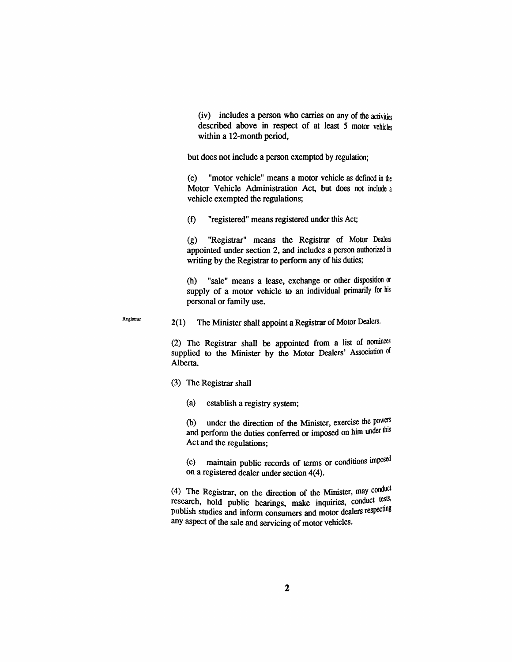(iv) includes a person who carries on any of die activities described above in respect of at least 5 motor vehicles within a 12-month period,

but does not include a person exempted by regulation;

(e) "motor vehicle" means a motor vehicle as defined in the Motor Vehicle Administration Act, but does not include a vehicle exempted the regulations;

(f) "registered" means registered under diis Act;

 $(g)$  "Registrar" means the Registrar of Motor Dealers appointed imder section 2, and includes a person audiorized in writing by the Registrar to perform any of his duties;

(h) "sale" means a lease, exchange or odier disposition or supply of a motor vehicle to an individual primarily for his personal or family use.

 $2(1)$  The Minister shall appoint a Registrar of Motor Dealers.

(2) The Registrar shall be appointed from a list of nominees supplied to the Minister by the Motor Dealers' Association of Alberta.

 $(3)$  The Registrar shall

**Registrar** 

(a) establish a registry system;

(b) under the direction of the Minister, exercise the powers and perform the duties conferred or imposed on him under this Act and die regulations;

(c) maintain public records of terms or conditions imposed on a registered dealer under section 4(4).

(4) The Registrar, on the direction of the Minister, may conduct research, hold public hearings, make inquiries, conduct tests, publish studies and inform consumers and motor dealers respecting any aspect of the sale and servicing of motor vehicles.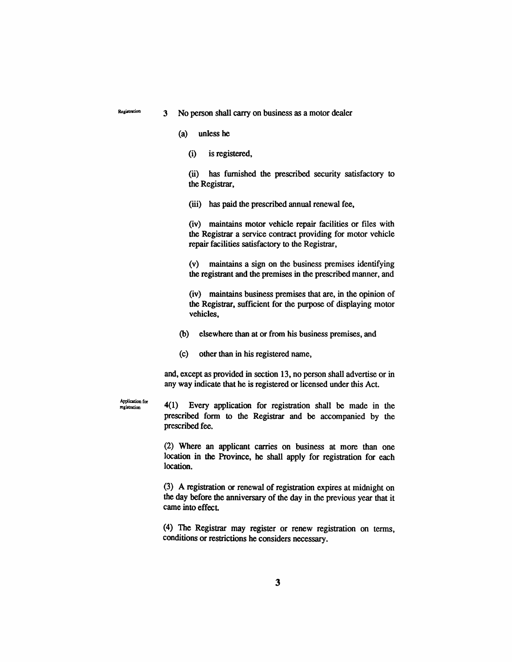$R$   $S$ <sup>2</sup> Registration 3  $\overline{S}$  No person shall carry on business as a motor dealer

- (a) unless he
	- (i) is registered,

(ii) has furnished the prescribed security satisfactory to the Registrar,

(iii) has paid the prescribed annual renewal fee,

(iv) maintains motor vehicle repair facilities or files with the Registrar a service contract providing for motor vehicle repair facilities satisfactory to the Registrar,

(v) maintains a sign on the business premises identifying the registrant and the premises in the prescribed manner, and

(iv) maintains business premises diat are, in the opinion of the Registrar, sufficient for the purpose of displaying motor vehicles,

(b) elsewhere than at or from his business premises, and

(c) odier than in his registered name,

and, except as provided in section 13, no person shaU advertise or in any way indicate that he is registered or licensed under this Act.

**Application** for **rcgiitration** 

 $4(1)$  Every application for registration shall be made in the prescribed form to the Regiskar and be accompanied by the prescribed fee.

(2) Where an applicant carries on business at more than one location in the Province, he shall apply for registration for each location.

 $(3)$  A registration or renewal of registration expires at midnight on the day before the anniversary of the day in the previous year that it came into effect

(4) The Registrar may register or renew regiskation on terms, conditions or restrictions he considers necessary.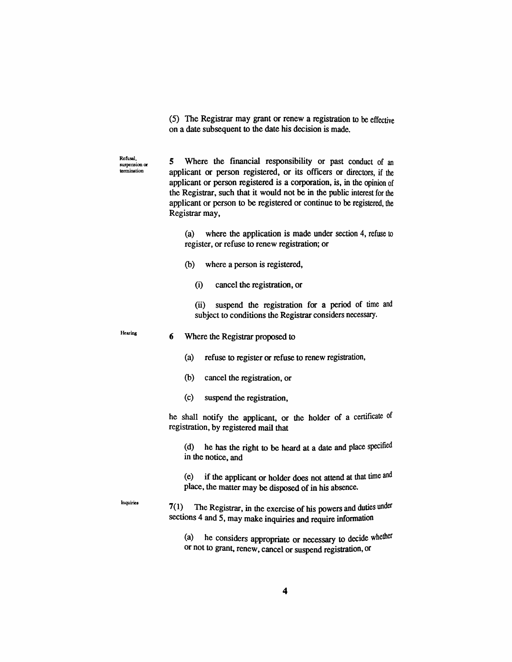(5) The Registrar may grant or renew a registration to be effective on a date subsequent to die date his decision is made.

Refusal,<br>suspension or 5 Where the financial responsibility or past conduct of an<br>termination applicant or person registered or its officers or directors if the applicant or person registered, or its officers or directors, if the applicant or person registered is a corporation, is, in the opinion of the Regiskar, such that it would not be in die public interest for die applicant or person to be registered or continue to be registered, the Registrar may,

> (a) where the application is made under section 4, refuse to register, or refuse to renew regiskation; or

- (b) where a person is registered,
	- (i) cancel the registration, or

(ii) suspend the registration for a period of time and subject to conditions the Registrar considers necessary.

**Hearing** 

**Inquiries** 

#### 6 Where die Registiar proposed to

- (a) refuse to register or refuse to renew regiskation,
- (b) cancel the registration, or
- (c) suspend the registration,

he shall notify the applicant, or the holder of a certificate of registration, by registered mail that

(d) he has the right to be heard at a date and place specified in the notice, and

(e) if die applicant or holder does not attend at diat time and place, the matter may be disposed of in his absence.

 $7(1)$  The Registrar, in the exercise of his powers and duties under sections 4 and 5, may make inquiries and require information

(a) he considers appropriate or necessary to decide whedier or not to grant, renew, cancel or suspend regiskation, or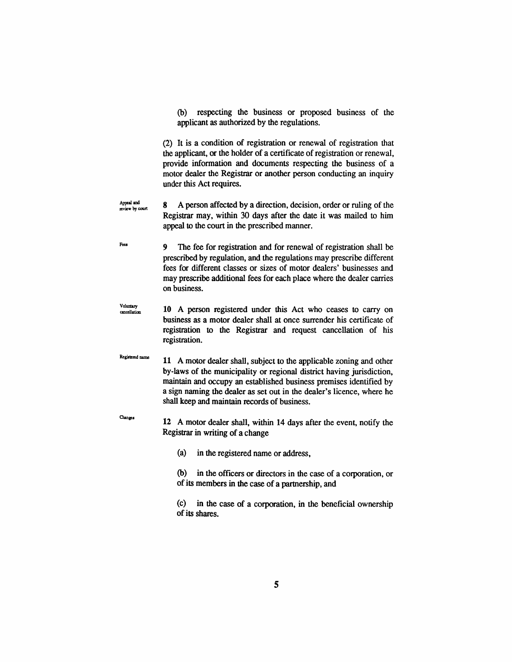(b) respecting the business or proposed business of the applicant as authorized by the regulations.

(2) It is a condition of regiskation or renewal of registration that the applicant, or the holder of a certificate of regiskation or renewal, provide information and documents respecting the business of a motor dealer the Registrar or another person conducting an inquiry under this Act requires.

- **Appeal and**  *Appeal and* 8 A person affected by a direction, decision, order or ruling of the Registrar may, within 30 days after the date it was mailed to him appeal to the court in the prescribed manner.
- Focs 9 The fee for regiskation and for renewal of regiskation shall be prescribed by regulation, and the regulations may prescribe different fees for different classes or sizes of motor dealers' businesses and may prescribe additional fees for each place where the dealer carries on business.
- **Voluntaiy cancellation**  10 A person registered under this Act who ceases to carry on business as a motor dealer shall at once surrender his certificate of registration to the Registrar and request cancellation of his registration.
- **Registered name** 11 A motor dealer shaU, subject to die applicable zoning and other by-laws of the municipahty or regional district having jurisdiction, maintain and occupy an established business premises identified by a sign naming the dealer as set out in the dealer's licence, where he shaU keep and maintain records of business.
- **Changes**  12 A motor dealer shall, within 14 days after the event, notify the Registrar in writing of a change

(a) in the registered name or address,

(b) in the officers or directors in the case of a corporation, or of its members in the case of a partnership, and

 $(c)$  in the case of a corporation, in the beneficial ownership of its shares.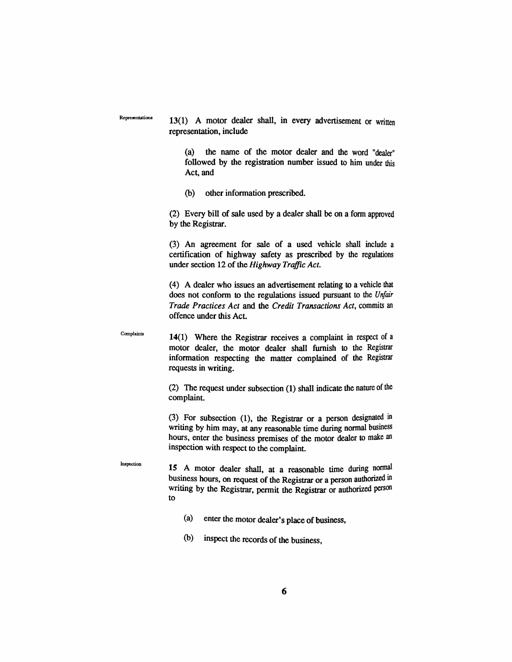Inspection

 $R$ epresentations  $13(1)$  A motor dealer shall, in every advertisement or written representation, include

> (a) the name of the motor dealer and the word "dealer" followed by the registration number issued to him under this Act, and

(b) other information prescribed.

(2) Every biU of sale used by a dealer shaU be on a form approved by the Registrar.

(3) An agreement for sale of a used vehicle shall include a certification of highway safety as prescribed by the regulations under section 12 of the *Highway Traffic Act.* 

(4) A dealer who issues an advertisement relating to a vehicle diat does not conform to the regidations issued pursuant to die *Unfair Trade Practices Act* and the *Credit Transactions Act,* commits an offence under this Act.

 $\sum_{\text{Complexity}}$  (14(1) Where the Registrar receives a complaint in respect of a motor dealer, die motor dealer shall fumish to die Registrar information respecting the matter complained of the Registrar requests in writing.

> (2) The request under subsection (1) shall indicate die nature of die complaint.

> (3) For subsection (1), the Registrar or a person designated in writing by him may, at any reasonable time during normal business hours, enter the business premises of the motor dealer to make an inspection with respect to the complaint.

15 A motor dealer shall, at a reasonable time during normal business hours, on request of the Registrar or a person authorized in writing by the Registrar, permit the Registrar or authorized person to

- (a) enter the motor dealer's place of business,
- (b) inspect die records of die business.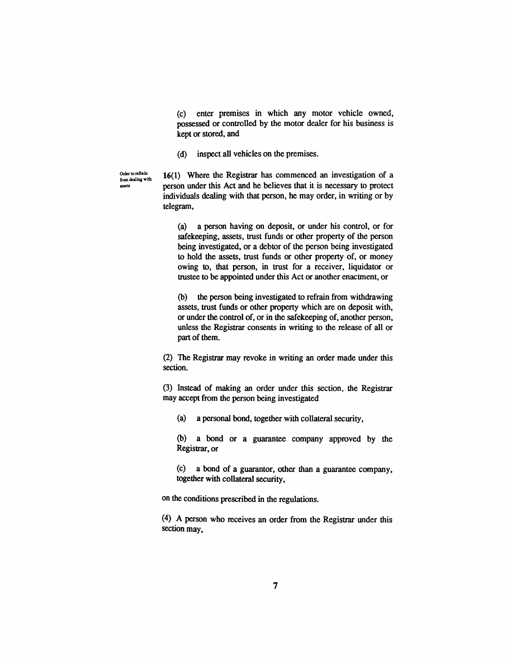(c) enter premises in which any motor vehicle owned, possessed or controlled by the motor dealer for his business is kept or stored, and

(d) inspect all vehicles on the premises.

Order to refinin 16(1) Where the Registrar has commenced an investigation of a from dealing with  $\frac{1}{2}$  person under this Act and he believes that it is necessary to protect individuals dealing with that person, he may order, in writing or by telegram,

> (a) a person having on deposit, or under his control, or for safekeeping, assets, trust funds or other property of the person being investigated, or a debtor of the person being investigated to hold the assets, tmst funds or other property of, or money owing to, that person, in tmst for a receiver, liquidator or tmstee to be appointed under this Act or anodier enactinent, or

> (b) the person being investigated to refrain from withdrawing assets, tmst funds or other property which are on deposit with, or under the control of, or in the safekeeping of, another person, unless the Registrar consents in writing to the release of all or part of them.

(2) The Registrar may revoke in writing an order made under this section.

(3) Instead of making an order under this section, the Registrar may accept from the person being investigated

(a) a personal bond, together with collateral security,

(b) a bond or a guarantee company approved by the Registrar, or

(c) a bond of a guarantor, other dian a guarantee company, together with collateral security,

on die conditions prescribed in die regulations.

(4) A person who receives an order from the Registrar under this section may.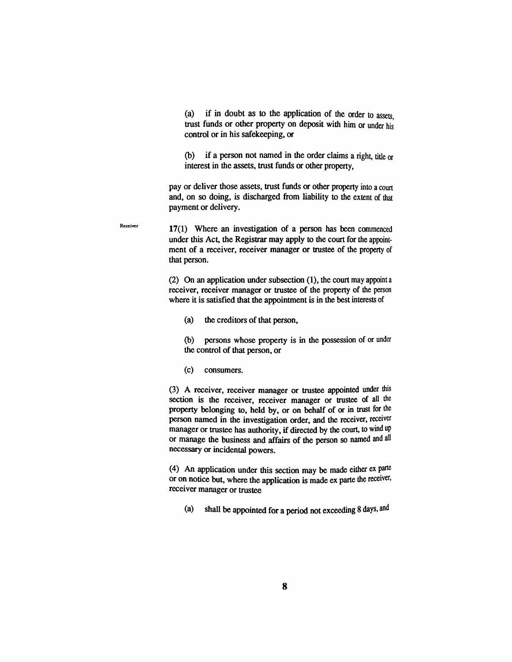$(a)$  if in doubt as to the application of the order to assets. trust funds or other property on deposit with him or under his control or in his safekeeping, or

(b) if a person not named in die order claims a right, tide or interest in the assets, trust funds or other property,

pay or deliver those assets, trust funds or other property into a court and, on so doing, is discharged from liability to the extent of that payment or delivery.

17(1) Where an investigation of a person has been commenced under this Act, the Registrar may apply to the court for the appointment of a receiver, receiver manager or tmstee of the property of that person.

(2) On an application under subsection  $(1)$ , the court may appoint a receiver, receiver manager or tmstee of the property of die person where it is satisfied that the appointment is in the best interests of

(a) the creditors of that person,

(b) persons whose property is in the possession of or under the control of that person, or

#### (c) consumers.

Receiver

(3) A receiver, receiver manager or trustee appointed under this section is the receiver, receiver manager or trustee of all the property belonging to, held by, or on behalf of or in trust for the person named in the investigation order, and the receiver, receiver manager or trustee has authority, if directed by the court, to wind up or manage the business and affairs of the person so named and all necessary or incidental powers.

(4) An application under this section may be made either  $ex$  parte or on notice but, where the application is made ex parte the receiver, receiver manager or trustee

(a) shall be appointed for a period not exceeding 8 days, and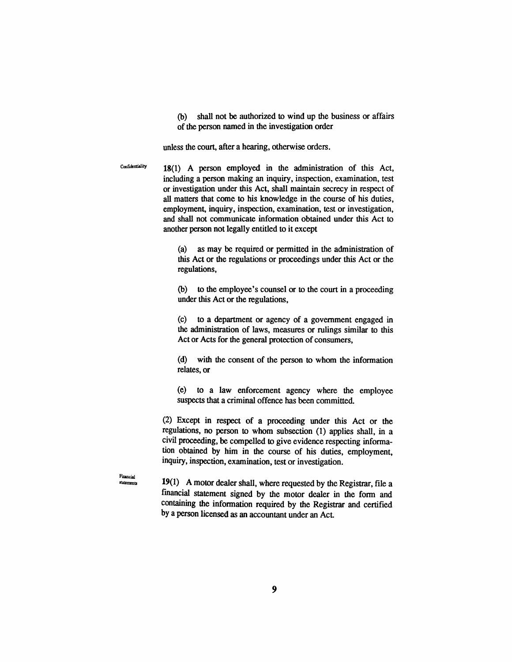(b) shall not be authorized to wind up the business or affairs of the person named in the investigation order

unless the court, after a hearing, otherwise orders.

Confidentiality 18(1) A person employed in the administration of this Act, including a person making an inquiry, inspection, examination, test or investigation under this Act, shall maintain secrecy in respect of all matters that come to his knowledge in the course of his duties, employment, inquiry, inspection, examination, test or investigation, and shall not communicate information obtained under this Act to another person not legally entided to it except

> (a) as may be required or permitted in the administration of this Act or the regulations or proceedings under this Act or the regulations,

> $(b)$  to the employee's counsel or to the court in a proceeding under this Act or the regulations,

> (c) to a department or agency of a govemment engaged in the administration of laws, measures or rulings similar to this Act or Acts for the general protection of consumers,

> (d) widi die consent of the person to whom die information relates, or

> (e) to a law enforcement agency where the employee suspects that a criminal offence has been committed.

(2) Except in respect of a proceeding under this Act or the regulations, no person to whom subsection (1) applies shall, in a civil proceeding, be compelled to give evidence respecting information obtained by him in die course of his duties, employment, inquiry, inspection, examination, test or investigation.

**Financial titements** 

19(1) A motor dealer shall, where requested by the Registrar, file a financial statement signed by die motor dealer in die form and containing the information required by the Registrar and certified by a person licensed as an accountant under an Act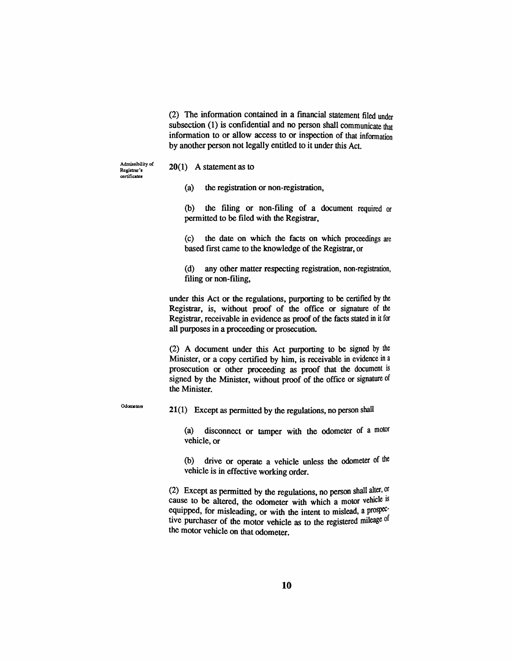(2) The information contained in a financial statement filed under subsection (1) is confidential and no person shall communicate that information to or allow access to or inspection of diat information by another person not legally entitled to it under this Act.

**Admissibility of Registrar's certificates** 

#### $20(1)$  A statement as to

 $(a)$  the registration or non-registration,

 $(b)$  the filing or non-filing of a document required or permitted to be filed with the Registrar,

(c) the date on which the facts on which proceedings are based first came to the knowledge of the Registrar, or

(d) any other matter respecting registration, non-registration, filing or non-filing,

under this Act or the regulations, purporting to be certified by the Registrar, is, without proof of the office or signature of die Regiskar, receivable in evidence as proof of the facts stated in it for aU purposes in a proceeding or prosecution.

(2) A document under this Act purporting to be signed by die Minister, or a copy certified by him, is receivable in evidence in a prosecution or other proceeding as proof that the document is signed by the Minister, without proof of the office or signature of the Minister.

Odometers

21(1) Except as permitted by the regulations, no person shall

(a) disconnect or tamper with the odometer of a motor vehicle, or

(b) drive or operate a vehicle unless the odometer of the vehicle is in effective working order.

(2) Except as permitted by the regulations, no person shall alter,  $\alpha$ cause to be altered, the odometer with which a motor vehicle is equipped, for misleading, or with the intent to mislead, a prospective purchaser of the motor vehicle as to the registered mileage of the motor vehicle on that odometer.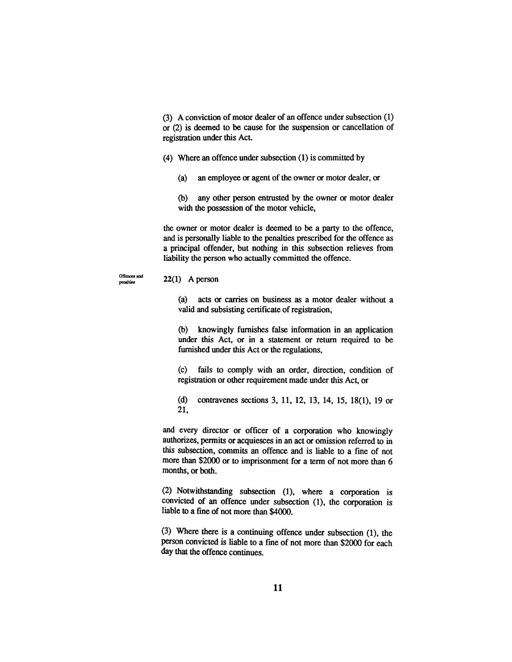(3) A conviction of motor dealer of an offence under subsection (1) or (2) is deemed to be cause for die suspension or cancellation of registration under this Act.

- (4) Where an offence under subsection (1) is committed by
	- (a) an employee OT agent of the owner or motor dealer, or

(b) any other person entrusted by the owner or motor dealer with the possession of the motor vehicle,

the owner or motor dealer is deemed to be a party to the offence, and is personally liable to the penalties prescribed for die offence as a principal offender, but nothing in this subsection relieves from liability the person who actually committed the offence.

**Offences and** 

## **22(1) A person** *Penalties*

(a) acts or carries on business as a motor dealer without a valid and subsisting certificate of registration,

(b) knowingly fumishes false information in an application under this Act, or in a statement or return required to be fumished under this Act or the regulations,

(c) fails to comply with an order, direction, condition of registration or other requirement made under this Act, or

(d) contravenes sections 3, 11, 12, 13, 14, 15, 18(1), 19 or 21,

and every director or officer of a corporation who knowingly authorizes, permits or acquiesces in an act or omission referred to in this subsection, commits an offence and is liable to a fine of not more than \$2000 or to imprisonment for a term of not more than 6 months, or both.

(2) Notwidistanding subsection (1), where a corporation is convicted of an offence under subsection (1), the corporation is liable to a fine of not more than \$4000.

(3) Where there is a continuing offence under subsection  $(1)$ , the person convicted is liable to a fine of not more than \$2000 for each day that the offence continues.